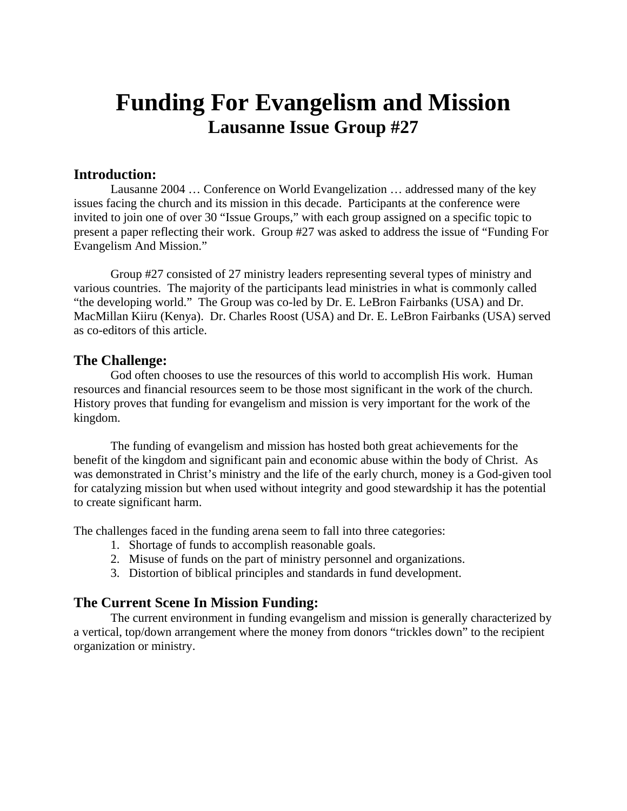# **Funding For Evangelism and Mission Lausanne Issue Group #27**

## **Introduction:**

Lausanne 2004 … Conference on World Evangelization … addressed many of the key issues facing the church and its mission in this decade. Participants at the conference were invited to join one of over 30 "Issue Groups," with each group assigned on a specific topic to present a paper reflecting their work. Group #27 was asked to address the issue of "Funding For Evangelism And Mission."

Group #27 consisted of 27 ministry leaders representing several types of ministry and various countries. The majority of the participants lead ministries in what is commonly called "the developing world." The Group was co-led by Dr. E. LeBron Fairbanks (USA) and Dr. MacMillan Kiiru (Kenya). Dr. Charles Roost (USA) and Dr. E. LeBron Fairbanks (USA) served as co-editors of this article.

# **The Challenge:**

God often chooses to use the resources of this world to accomplish His work. Human resources and financial resources seem to be those most significant in the work of the church. History proves that funding for evangelism and mission is very important for the work of the kingdom.

The funding of evangelism and mission has hosted both great achievements for the benefit of the kingdom and significant pain and economic abuse within the body of Christ. As was demonstrated in Christ's ministry and the life of the early church, money is a God-given tool for catalyzing mission but when used without integrity and good stewardship it has the potential to create significant harm.

The challenges faced in the funding arena seem to fall into three categories:

- 1. Shortage of funds to accomplish reasonable goals.
- 2. Misuse of funds on the part of ministry personnel and organizations.
- 3. Distortion of biblical principles and standards in fund development.

# **The Current Scene In Mission Funding:**

The current environment in funding evangelism and mission is generally characterized by a vertical, top/down arrangement where the money from donors "trickles down" to the recipient organization or ministry.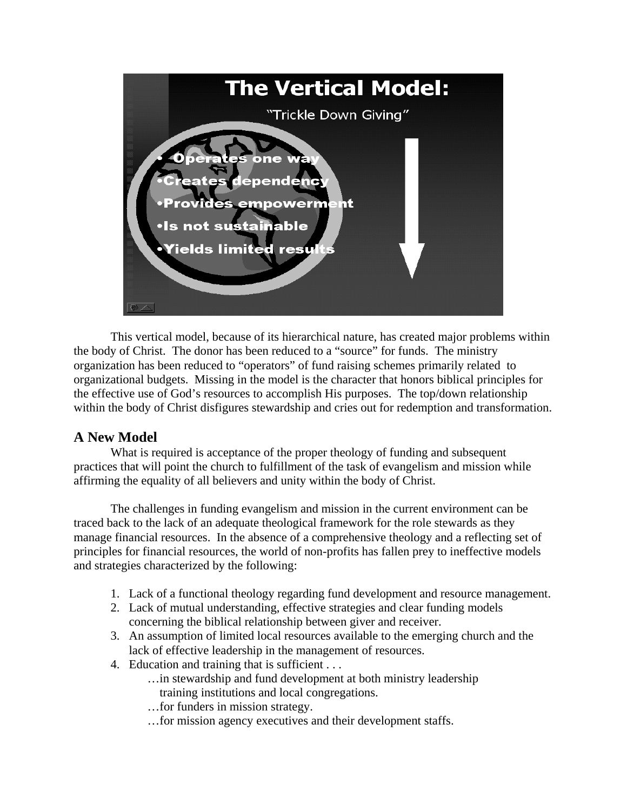

This vertical model, because of its hierarchical nature, has created major problems within the body of Christ. The donor has been reduced to a "source" for funds. The ministry organization has been reduced to "operators" of fund raising schemes primarily related to organizational budgets. Missing in the model is the character that honors biblical principles for the effective use of God's resources to accomplish His purposes. The top/down relationship within the body of Christ disfigures stewardship and cries out for redemption and transformation.

# **A New Model**

What is required is acceptance of the proper theology of funding and subsequent practices that will point the church to fulfillment of the task of evangelism and mission while affirming the equality of all believers and unity within the body of Christ.

The challenges in funding evangelism and mission in the current environment can be traced back to the lack of an adequate theological framework for the role stewards as they manage financial resources. In the absence of a comprehensive theology and a reflecting set of principles for financial resources, the world of non-profits has fallen prey to ineffective models and strategies characterized by the following:

- 1. Lack of a functional theology regarding fund development and resource management.
- 2. Lack of mutual understanding, effective strategies and clear funding models concerning the biblical relationship between giver and receiver.
- 3. An assumption of limited local resources available to the emerging church and the lack of effective leadership in the management of resources.
- 4. Education and training that is sufficient . . .
	- …in stewardship and fund development at both ministry leadership training institutions and local congregations.
	- …for funders in mission strategy.
	- …for mission agency executives and their development staffs.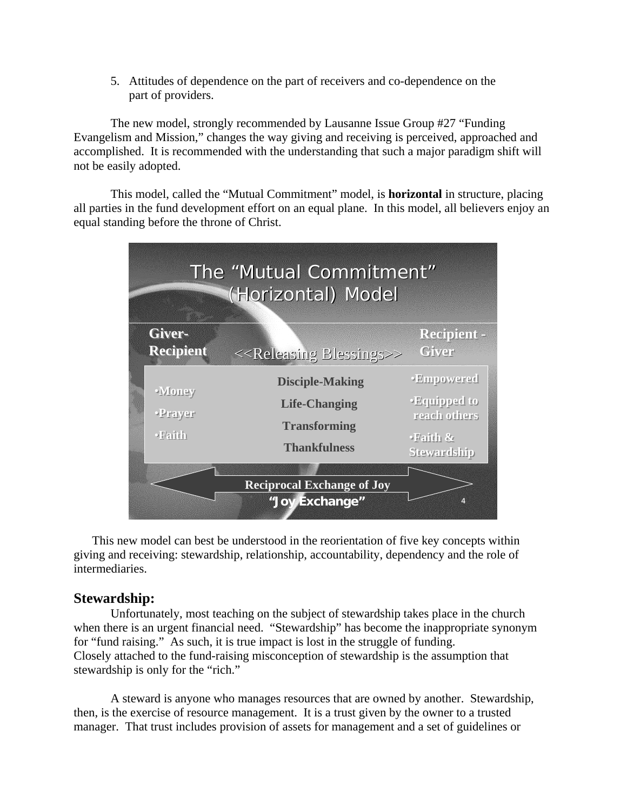5. Attitudes of dependence on the part of receivers and co-dependence on the part of providers.

The new model, strongly recommended by Lausanne Issue Group #27 "Funding Evangelism and Mission," changes the way giving and receiving is perceived, approached and accomplished. It is recommended with the understanding that such a major paradigm shift will not be easily adopted.

This model, called the "Mutual Commitment" model, is **horizontal** in structure, placing all parties in the fund development effort on an equal plane. In this model, all believers enjoy an equal standing before the throne of Christ.

| The "Mutual Commitment"<br>(Horizontal) Model |                                                                                              |                                                                                   |
|-----------------------------------------------|----------------------------------------------------------------------------------------------|-----------------------------------------------------------------------------------|
| Giver-<br><b>Recipient</b>                    | < <releasing blessings="">&gt;</releasing>                                                   | <b>Recipient -</b><br><b>Giver</b>                                                |
| <b>Money</b><br>Prayer<br>·Faith              | <b>Disciple-Making</b><br><b>Life-Changing</b><br><b>Transforming</b><br><b>Thankfulness</b> | <b>Empowered</b><br><b>Equipped to</b><br>reach others<br>·Faith &<br>Stewardship |
|                                               | <b>Reciprocal Exchange of Joy</b><br>"Joy Exchange"                                          |                                                                                   |

This new model can best be understood in the reorientation of five key concepts within giving and receiving: stewardship, relationship, accountability, dependency and the role of intermediaries.

# **Stewardship:**

Unfortunately, most teaching on the subject of stewardship takes place in the church when there is an urgent financial need. "Stewardship" has become the inappropriate synonym for "fund raising." As such, it is true impact is lost in the struggle of funding. Closely attached to the fund-raising misconception of stewardship is the assumption that stewardship is only for the "rich."

A steward is anyone who manages resources that are owned by another. Stewardship, then, is the exercise of resource management. It is a trust given by the owner to a trusted manager. That trust includes provision of assets for management and a set of guidelines or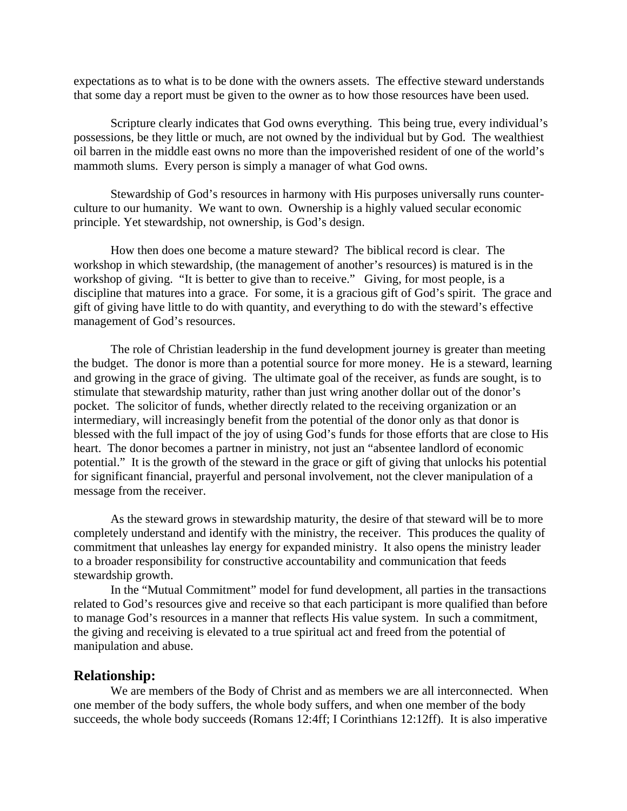expectations as to what is to be done with the owners assets. The effective steward understands that some day a report must be given to the owner as to how those resources have been used.

Scripture clearly indicates that God owns everything. This being true, every individual's possessions, be they little or much, are not owned by the individual but by God. The wealthiest oil barren in the middle east owns no more than the impoverished resident of one of the world's mammoth slums. Every person is simply a manager of what God owns.

Stewardship of God's resources in harmony with His purposes universally runs counterculture to our humanity. We want to own. Ownership is a highly valued secular economic principle. Yet stewardship, not ownership, is God's design.

How then does one become a mature steward? The biblical record is clear. The workshop in which stewardship, (the management of another's resources) is matured is in the workshop of giving. "It is better to give than to receive." Giving, for most people, is a discipline that matures into a grace. For some, it is a gracious gift of God's spirit. The grace and gift of giving have little to do with quantity, and everything to do with the steward's effective management of God's resources.

The role of Christian leadership in the fund development journey is greater than meeting the budget. The donor is more than a potential source for more money. He is a steward, learning and growing in the grace of giving. The ultimate goal of the receiver, as funds are sought, is to stimulate that stewardship maturity, rather than just wring another dollar out of the donor's pocket. The solicitor of funds, whether directly related to the receiving organization or an intermediary, will increasingly benefit from the potential of the donor only as that donor is blessed with the full impact of the joy of using God's funds for those efforts that are close to His heart. The donor becomes a partner in ministry, not just an "absentee landlord of economic potential." It is the growth of the steward in the grace or gift of giving that unlocks his potential for significant financial, prayerful and personal involvement, not the clever manipulation of a message from the receiver.

As the steward grows in stewardship maturity, the desire of that steward will be to more completely understand and identify with the ministry, the receiver. This produces the quality of commitment that unleashes lay energy for expanded ministry. It also opens the ministry leader to a broader responsibility for constructive accountability and communication that feeds stewardship growth.

In the "Mutual Commitment" model for fund development, all parties in the transactions related to God's resources give and receive so that each participant is more qualified than before to manage God's resources in a manner that reflects His value system. In such a commitment, the giving and receiving is elevated to a true spiritual act and freed from the potential of manipulation and abuse.

#### **Relationship:**

We are members of the Body of Christ and as members we are all interconnected. When one member of the body suffers, the whole body suffers, and when one member of the body succeeds, the whole body succeeds (Romans 12:4ff; I Corinthians 12:12ff). It is also imperative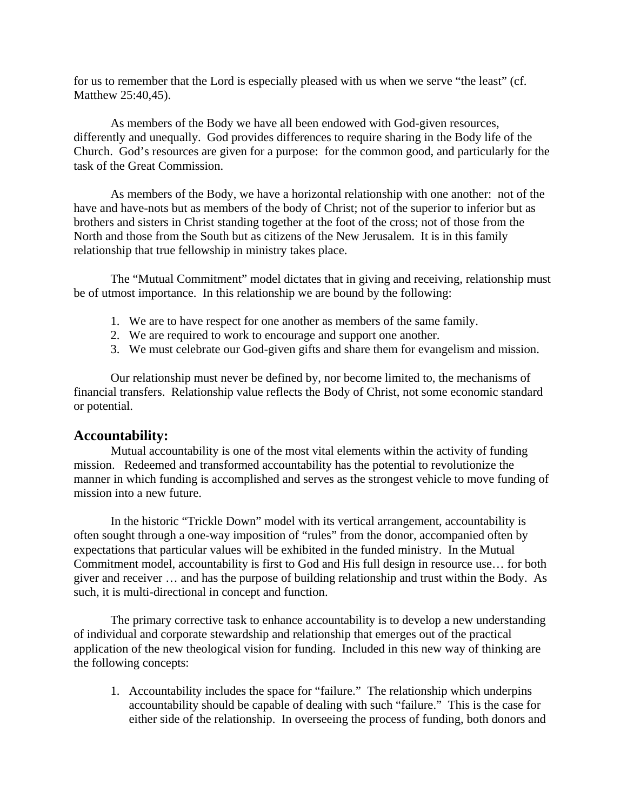for us to remember that the Lord is especially pleased with us when we serve "the least" (cf. Matthew 25:40,45).

As members of the Body we have all been endowed with God-given resources, differently and unequally. God provides differences to require sharing in the Body life of the Church. God's resources are given for a purpose: for the common good, and particularly for the task of the Great Commission.

As members of the Body, we have a horizontal relationship with one another: not of the have and have-nots but as members of the body of Christ; not of the superior to inferior but as brothers and sisters in Christ standing together at the foot of the cross; not of those from the North and those from the South but as citizens of the New Jerusalem. It is in this family relationship that true fellowship in ministry takes place.

The "Mutual Commitment" model dictates that in giving and receiving, relationship must be of utmost importance. In this relationship we are bound by the following:

- 1. We are to have respect for one another as members of the same family.
- 2. We are required to work to encourage and support one another.
- 3. We must celebrate our God-given gifts and share them for evangelism and mission.

Our relationship must never be defined by, nor become limited to, the mechanisms of financial transfers. Relationship value reflects the Body of Christ, not some economic standard or potential.

# **Accountability:**

Mutual accountability is one of the most vital elements within the activity of funding mission. Redeemed and transformed accountability has the potential to revolutionize the manner in which funding is accomplished and serves as the strongest vehicle to move funding of mission into a new future.

In the historic "Trickle Down" model with its vertical arrangement, accountability is often sought through a one-way imposition of "rules" from the donor, accompanied often by expectations that particular values will be exhibited in the funded ministry.In the Mutual Commitment model, accountability is first to God and His full design in resource use… for both giver and receiver … and has the purpose of building relationship and trust within the Body. As such, it is multi-directional in concept and function.

The primary corrective task to enhance accountability is to develop a new understanding of individual and corporate stewardship and relationship that emerges out of the practical application of the new theological vision for funding. Included in this new way of thinking are the following concepts:

1. Accountability includes the space for "failure." The relationship which underpins accountability should be capable of dealing with such "failure." This is the case for either side of the relationship. In overseeing the process of funding, both donors and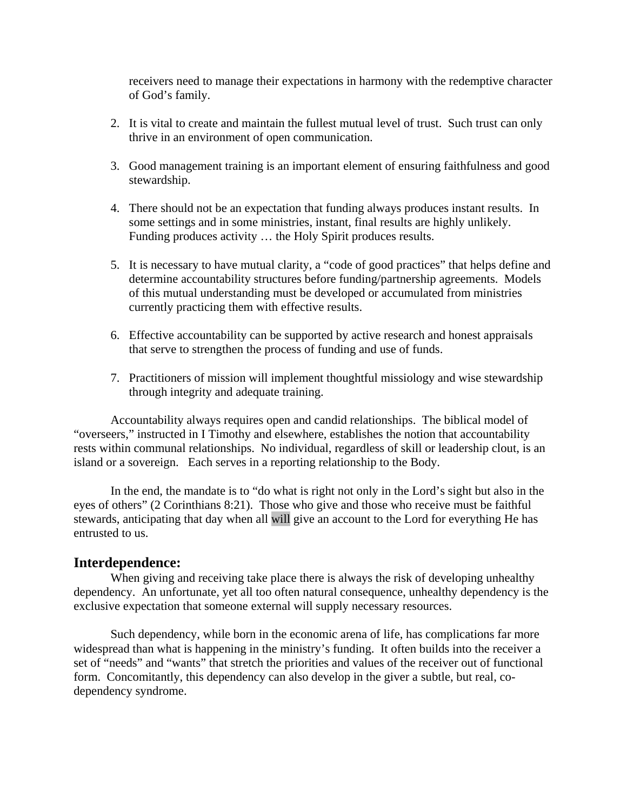receivers need to manage their expectations in harmony with the redemptive character of God's family.

- 2. It is vital to create and maintain the fullest mutual level of trust. Such trust can only thrive in an environment of open communication.
- 3. Good management training is an important element of ensuring faithfulness and good stewardship.
- 4. There should not be an expectation that funding always produces instant results. In some settings and in some ministries, instant, final results are highly unlikely. Funding produces activity … the Holy Spirit produces results.
- 5. It is necessary to have mutual clarity, a "code of good practices" that helps define and determine accountability structures before funding/partnership agreements. Models of this mutual understanding must be developed or accumulated from ministries currently practicing them with effective results.
- 6. Effective accountability can be supported by active research and honest appraisals that serve to strengthen the process of funding and use of funds.
- 7. Practitioners of mission will implement thoughtful missiology and wise stewardship through integrity and adequate training.

Accountability always requires open and candid relationships. The biblical model of "overseers," instructed in I Timothy and elsewhere, establishes the notion that accountability rests within communal relationships. No individual, regardless of skill or leadership clout, is an island or a sovereign. Each serves in a reporting relationship to the Body.

In the end, the mandate is to "do what is right not only in the Lord's sight but also in the eyes of others" (2 Corinthians 8:21). Those who give and those who receive must be faithful stewards, anticipating that day when all will give an account to the Lord for everything He has entrusted to us.

#### **Interdependence:**

When giving and receiving take place there is always the risk of developing unhealthy dependency. An unfortunate, yet all too often natural consequence, unhealthy dependency is the exclusive expectation that someone external will supply necessary resources.

Such dependency, while born in the economic arena of life, has complications far more widespread than what is happening in the ministry's funding.It often builds into the receiver a set of "needs" and "wants" that stretch the priorities and values of the receiver out of functional form. Concomitantly, this dependency can also develop in the giver a subtle, but real, codependency syndrome.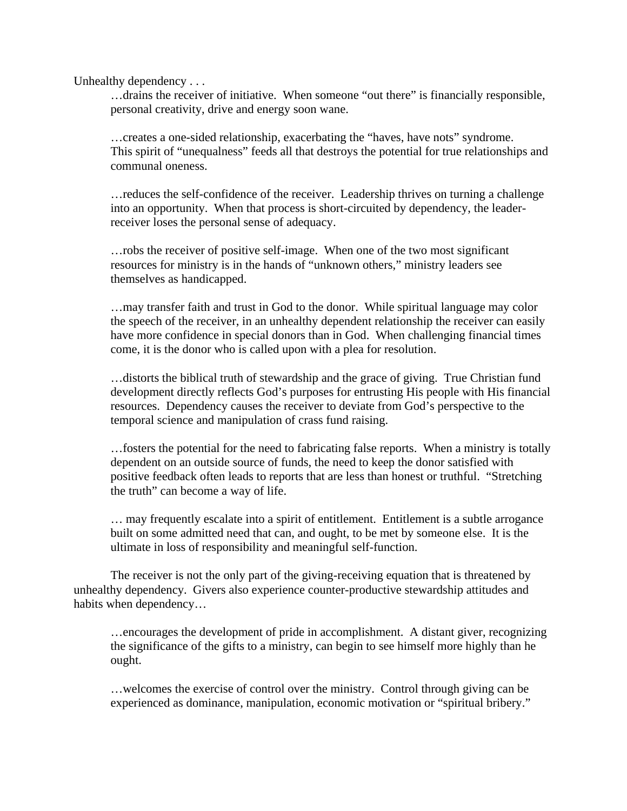Unhealthy dependency . . .

…drains the receiver of initiative. When someone "out there" is financially responsible, personal creativity, drive and energy soon wane.

 …creates a one-sided relationship, exacerbating the "haves, have nots" syndrome. This spirit of "unequalness" feeds all that destroys the potential for true relationships and communal oneness.

…reduces the self-confidence of the receiver. Leadership thrives on turning a challenge into an opportunity. When that process is short-circuited by dependency, the leaderreceiver loses the personal sense of adequacy.

…robs the receiver of positive self-image. When one of the two most significant resources for ministry is in the hands of "unknown others," ministry leaders see themselves as handicapped.

…may transfer faith and trust in God to the donor. While spiritual language may color the speech of the receiver, in an unhealthy dependent relationship the receiver can easily have more confidence in special donors than in God. When challenging financial times come, it is the donor who is called upon with a plea for resolution.

…distorts the biblical truth of stewardship and the grace of giving. True Christian fund development directly reflects God's purposes for entrusting His people with His financial resources. Dependency causes the receiver to deviate from God's perspective to the temporal science and manipulation of crass fund raising.

…fosters the potential for the need to fabricating false reports. When a ministry is totally dependent on an outside source of funds, the need to keep the donor satisfied with positive feedback often leads to reports that are less than honest or truthful. "Stretching the truth" can become a way of life.

… may frequently escalate into a spirit of entitlement. Entitlement is a subtle arrogance built on some admitted need that can, and ought, to be met by someone else. It is the ultimate in loss of responsibility and meaningful self-function.

The receiver is not the only part of the giving-receiving equation that is threatened by unhealthy dependency. Givers also experience counter-productive stewardship attitudes and habits when dependency…

…encourages the development of pride in accomplishment. A distant giver, recognizing the significance of the gifts to a ministry, can begin to see himself more highly than he ought.

…welcomes the exercise of control over the ministry. Control through giving can be experienced as dominance, manipulation, economic motivation or "spiritual bribery."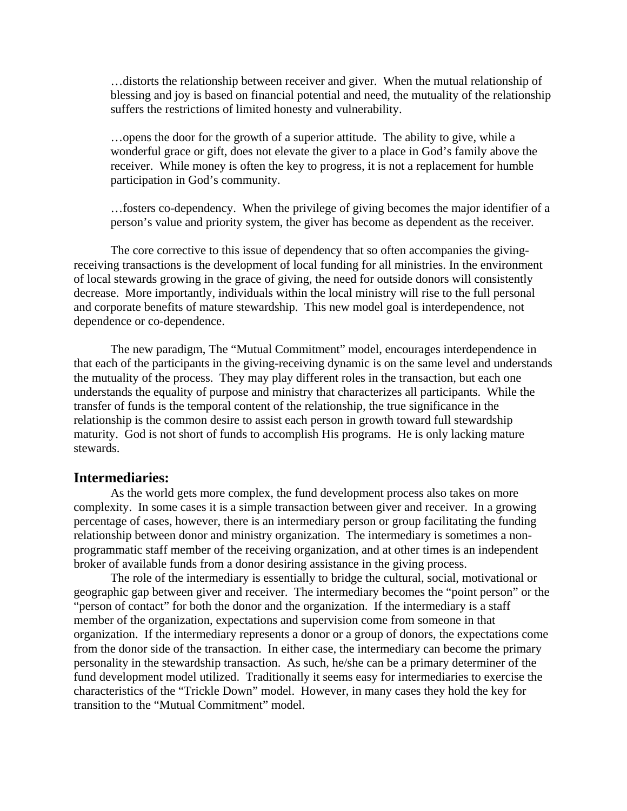…distorts the relationship between receiver and giver. When the mutual relationship of blessing and joy is based on financial potential and need, the mutuality of the relationship suffers the restrictions of limited honesty and vulnerability.

…opens the door for the growth of a superior attitude. The ability to give, while a wonderful grace or gift, does not elevate the giver to a place in God's family above the receiver. While money is often the key to progress, it is not a replacement for humble participation in God's community.

…fosters co-dependency. When the privilege of giving becomes the major identifier of a person's value and priority system, the giver has become as dependent as the receiver.

The core corrective to this issue of dependency that so often accompanies the givingreceiving transactions is the development of local funding for all ministries. In the environment of local stewards growing in the grace of giving, the need for outside donors will consistently decrease. More importantly, individuals within the local ministry will rise to the full personal and corporate benefits of mature stewardship. This new model goal is interdependence, not dependence or co-dependence.

The new paradigm, The "Mutual Commitment" model, encourages interdependence in that each of the participants in the giving-receiving dynamic is on the same level and understands the mutuality of the process. They may play different roles in the transaction, but each one understands the equality of purpose and ministry that characterizes all participants. While the transfer of funds is the temporal content of the relationship, the true significance in the relationship is the common desire to assist each person in growth toward full stewardship maturity. God is not short of funds to accomplish His programs. He is only lacking mature stewards.

#### **Intermediaries:**

As the world gets more complex, the fund development process also takes on more complexity. In some cases it is a simple transaction between giver and receiver. In a growing percentage of cases, however, there is an intermediary person or group facilitating the funding relationship between donor and ministry organization. The intermediary is sometimes a nonprogrammatic staff member of the receiving organization, and at other times is an independent broker of available funds from a donor desiring assistance in the giving process.

The role of the intermediary is essentially to bridge the cultural, social, motivational or geographic gap between giver and receiver. The intermediary becomes the "point person" or the "person of contact" for both the donor and the organization. If the intermediary is a staff member of the organization, expectations and supervision come from someone in that organization. If the intermediary represents a donor or a group of donors, the expectations come from the donor side of the transaction. In either case, the intermediary can become the primary personality in the stewardship transaction. As such, he/she can be a primary determiner of the fund development model utilized. Traditionally it seems easy for intermediaries to exercise the characteristics of the "Trickle Down" model. However, in many cases they hold the key for transition to the "Mutual Commitment" model.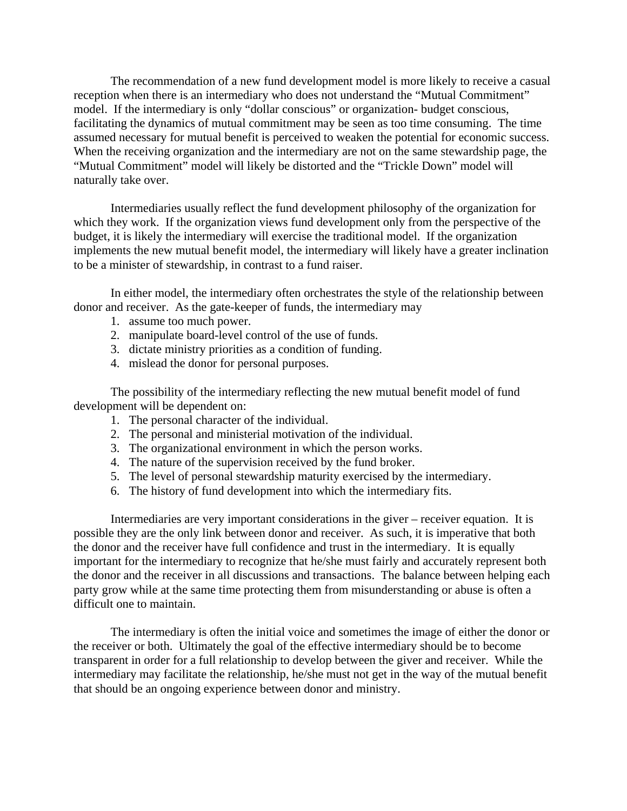The recommendation of a new fund development model is more likely to receive a casual reception when there is an intermediary who does not understand the "Mutual Commitment" model. If the intermediary is only "dollar conscious" or organization- budget conscious, facilitating the dynamics of mutual commitment may be seen as too time consuming. The time assumed necessary for mutual benefit is perceived to weaken the potential for economic success. When the receiving organization and the intermediary are not on the same stewardship page, the "Mutual Commitment" model will likely be distorted and the "Trickle Down" model will naturally take over.

Intermediaries usually reflect the fund development philosophy of the organization for which they work. If the organization views fund development only from the perspective of the budget, it is likely the intermediary will exercise the traditional model. If the organization implements the new mutual benefit model, the intermediary will likely have a greater inclination to be a minister of stewardship, in contrast to a fund raiser.

In either model, the intermediary often orchestrates the style of the relationship between donor and receiver. As the gate-keeper of funds, the intermediary may

- 1. assume too much power.
- 2. manipulate board-level control of the use of funds.
- 3. dictate ministry priorities as a condition of funding.
- 4. mislead the donor for personal purposes.

The possibility of the intermediary reflecting the new mutual benefit model of fund development will be dependent on:

- 1. The personal character of the individual.
- 2. The personal and ministerial motivation of the individual.
- 3. The organizational environment in which the person works.
- 4. The nature of the supervision received by the fund broker.
- 5. The level of personal stewardship maturity exercised by the intermediary.
- 6. The history of fund development into which the intermediary fits.

Intermediaries are very important considerations in the giver – receiver equation. It is possible they are the only link between donor and receiver. As such, it is imperative that both the donor and the receiver have full confidence and trust in the intermediary. It is equally important for the intermediary to recognize that he/she must fairly and accurately represent both the donor and the receiver in all discussions and transactions. The balance between helping each party grow while at the same time protecting them from misunderstanding or abuse is often a difficult one to maintain.

The intermediary is often the initial voice and sometimes the image of either the donor or the receiver or both. Ultimately the goal of the effective intermediary should be to become transparent in order for a full relationship to develop between the giver and receiver. While the intermediary may facilitate the relationship, he/she must not get in the way of the mutual benefit that should be an ongoing experience between donor and ministry.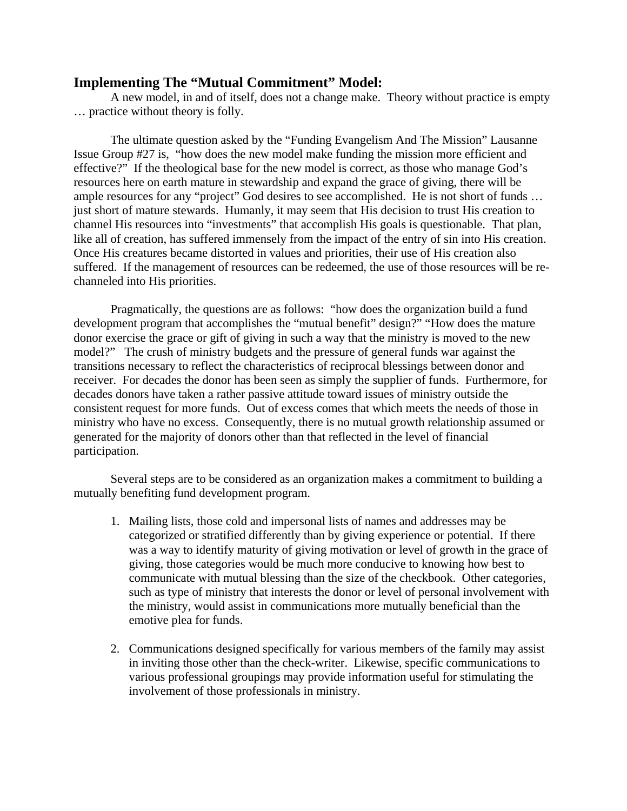## **Implementing The "Mutual Commitment" Model:**

A new model, in and of itself, does not a change make. Theory without practice is empty … practice without theory is folly.

The ultimate question asked by the "Funding Evangelism And The Mission" Lausanne Issue Group #27 is, "how does the new model make funding the mission more efficient and effective?" If the theological base for the new model is correct, as those who manage God's resources here on earth mature in stewardship and expand the grace of giving, there will be ample resources for any "project" God desires to see accomplished. He is not short of funds … just short of mature stewards. Humanly, it may seem that His decision to trust His creation to channel His resources into "investments" that accomplish His goals is questionable. That plan, like all of creation, has suffered immensely from the impact of the entry of sin into His creation. Once His creatures became distorted in values and priorities, their use of His creation also suffered. If the management of resources can be redeemed, the use of those resources will be rechanneled into His priorities.

Pragmatically, the questions are as follows: "how does the organization build a fund development program that accomplishes the "mutual benefit" design?" "How does the mature donor exercise the grace or gift of giving in such a way that the ministry is moved to the new model?" The crush of ministry budgets and the pressure of general funds war against the transitions necessary to reflect the characteristics of reciprocal blessings between donor and receiver. For decades the donor has been seen as simply the supplier of funds. Furthermore, for decades donors have taken a rather passive attitude toward issues of ministry outside the consistent request for more funds. Out of excess comes that which meets the needs of those in ministry who have no excess. Consequently, there is no mutual growth relationship assumed or generated for the majority of donors other than that reflected in the level of financial participation.

Several steps are to be considered as an organization makes a commitment to building a mutually benefiting fund development program.

- 1. Mailing lists, those cold and impersonal lists of names and addresses may be categorized or stratified differently than by giving experience or potential. If there was a way to identify maturity of giving motivation or level of growth in the grace of giving, those categories would be much more conducive to knowing how best to communicate with mutual blessing than the size of the checkbook. Other categories, such as type of ministry that interests the donor or level of personal involvement with the ministry, would assist in communications more mutually beneficial than the emotive plea for funds.
- 2. Communications designed specifically for various members of the family may assist in inviting those other than the check-writer. Likewise, specific communications to various professional groupings may provide information useful for stimulating the involvement of those professionals in ministry.